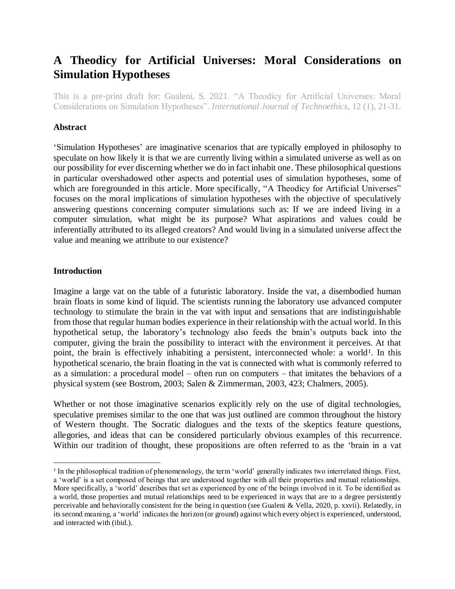# **A Theodicy for Artificial Universes: Moral Considerations on Simulation Hypotheses**

This is a pre-print draft for: Gualeni, S. 2021. "A Theodicy for Artificial Universes: Moral Considerations on Simulation Hypotheses". *International Journal of Technoethics*, 12 (1), 21-31.

## **Abstract**

'Simulation Hypotheses' are imaginative scenarios that are typically employed in philosophy to speculate on how likely it is that we are currently living within a simulated universe as well as on our possibility for ever discerning whether we do in fact inhabit one. These philosophical questions in particular overshadowed other aspects and potential uses of simulation hypotheses, some of which are foregrounded in this article. More specifically, "A Theodicy for Artificial Universes" focuses on the moral implications of simulation hypotheses with the objective of speculatively answering questions concerning computer simulations such as: If we are indeed living in a computer simulation, what might be its purpose? What aspirations and values could be inferentially attributed to its alleged creators? And would living in a simulated universe affect the value and meaning we attribute to our existence?

#### **Introduction**

 $\overline{a}$ 

Imagine a large vat on the table of a futuristic laboratory. Inside the vat, a disembodied human brain floats in some kind of liquid. The scientists running the laboratory use advanced computer technology to stimulate the brain in the vat with input and sensations that are indistinguishable from those that regular human bodies experience in their relationship with the actual world. In this hypothetical setup, the laboratory's technology also feeds the brain's outputs back into the computer, giving the brain the possibility to interact with the environment it perceives. At that point, the brain is effectively inhabiting a persistent, interconnected whole: a world<sup>1</sup>. In this hypothetical scenario, the brain floating in the vat is connected with what is commonly referred to as a simulation: a procedural model – often run on computers – that imitates the behaviors of a physical system (see Bostrom, 2003; Salen & Zimmerman, 2003, 423; Chalmers, 2005).

Whether or not those imaginative scenarios explicitly rely on the use of digital technologies, speculative premises similar to the one that was just outlined are common throughout the history of Western thought. The Socratic dialogues and the texts of the skeptics feature questions, allegories, and ideas that can be considered particularly obvious examples of this recurrence. Within our tradition of thought, these propositions are often referred to as the 'brain in a vat

<sup>1</sup> In the philosophical tradition of phenomenology, the term 'world' generally indicates two interrelated things. First, a 'world' is a set composed of beings that are understood together with all their properties and mutual relationships. More specifically, a 'world' describes that set as experienced by one of the beings involved in it. To be identified as a world, those properties and mutual relationships need to be experienced in ways that are to a degree persistently perceivable and behaviorally consistent for the being in question (see Gualeni & Vella, 2020, p. xxvii). Relatedly, in its second meaning, a 'world' indicates the horizon (or ground) against which every object is experienced, understood, and interacted with (ibid.).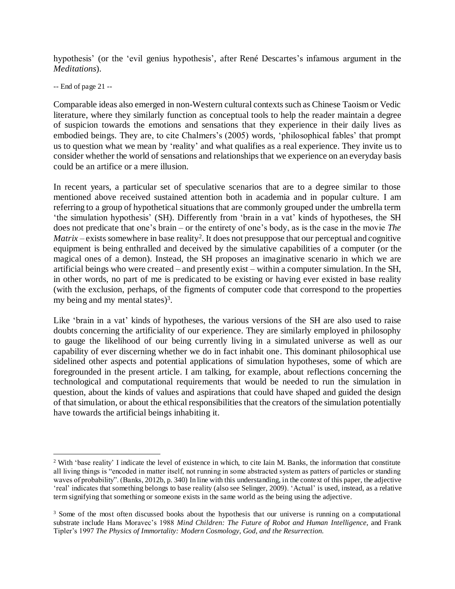hypothesis' (or the 'evil genius hypothesis', after René Descartes's infamous argument in the *Meditations*).

-- End of page 21 --

 $\overline{a}$ 

Comparable ideas also emerged in non-Western cultural contexts such as Chinese Taoism or Vedic literature, where they similarly function as conceptual tools to help the reader maintain a degree of suspicion towards the emotions and sensations that they experience in their daily lives as embodied beings. They are, to cite Chalmers's (2005) words, 'philosophical fables' that prompt us to question what we mean by 'reality' and what qualifies as a real experience. They invite us to consider whether the world of sensations and relationships that we experience on an everyday basis could be an artifice or a mere illusion.

In recent years, a particular set of speculative scenarios that are to a degree similar to those mentioned above received sustained attention both in academia and in popular culture. I am referring to a group of hypothetical situations that are commonly grouped under the umbrella term 'the simulation hypothesis' (SH). Differently from 'brain in a vat' kinds of hypotheses, the SH does not predicate that one's brain – or the entirety of one's body, as is the case in the movie *The Matrix* – exists somewhere in base reality<sup>2</sup>. It does not presuppose that our perceptual and cognitive equipment is being enthralled and deceived by the simulative capabilities of a computer (or the magical ones of a demon). Instead, the SH proposes an imaginative scenario in which we are artificial beings who were created – and presently exist – within a computer simulation. In the SH, in other words, no part of me is predicated to be existing or having ever existed in base reality (with the exclusion, perhaps, of the figments of computer code that correspond to the properties my being and my mental states)<sup>3</sup>.

Like 'brain in a vat' kinds of hypotheses, the various versions of the SH are also used to raise doubts concerning the artificiality of our experience. They are similarly employed in philosophy to gauge the likelihood of our being currently living in a simulated universe as well as our capability of ever discerning whether we do in fact inhabit one. This dominant philosophical use sidelined other aspects and potential applications of simulation hypotheses, some of which are foregrounded in the present article. I am talking, for example, about reflections concerning the technological and computational requirements that would be needed to run the simulation in question, about the kinds of values and aspirations that could have shaped and guided the design of that simulation, or about the ethical responsibilities that the creators of the simulation potentially have towards the artificial beings inhabiting it.

<sup>2</sup> With 'base reality' I indicate the level of existence in which, to cite Iain M. Banks, the information that constitute all living things is "encoded in matter itself, not running in some abstracted system as patters of particles or standing waves of probability". (Banks, 2012b, p. 340) In line with this understanding, in the context of this paper, the adjective 'real' indicates that something belongs to base reality (also see Selinger, 2009). 'Actual' is used, instead, as a relative term signifying that something or someone exists in the same world as the being using the adjective.

<sup>&</sup>lt;sup>3</sup> Some of the most often discussed books about the hypothesis that our universe is running on a computational substrate include Hans Moravec's 1988 *Mind Children: The Future of Robot and Human Intelligence*, and Frank Tipler's 1997 *The Physics of Immortality: Modern Cosmology, God, and the Resurrection.*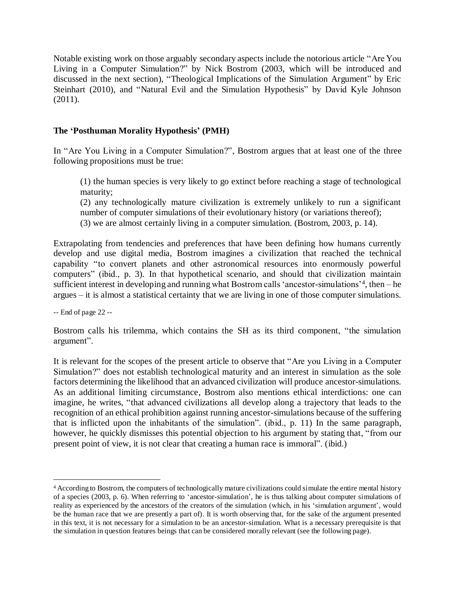Notable existing work on those arguably secondary aspects include the notorious article "Are You Living in a Computer Simulation?" by Nick Bostrom (2003, which will be introduced and discussed in the next section), "Theological Implications of the Simulation Argument" by Eric Steinhart (2010), and "Natural Evil and the Simulation Hypothesis" by David Kyle Johnson (2011).

# **The 'Posthuman Morality Hypothesis' (PMH)**

In "Are You Living in a Computer Simulation?", Bostrom argues that at least one of the three following propositions must be true:

(1) the human species is very likely to go extinct before reaching a stage of technological maturity;

(2) any technologically mature civilization is extremely unlikely to run a significant number of computer simulations of their evolutionary history (or variations thereof);

(3) we are almost certainly living in a computer simulation. (Bostrom, 2003, p. 14).

Extrapolating from tendencies and preferences that have been defining how humans currently develop and use digital media, Bostrom imagines a civilization that reached the technical capability "to convert planets and other astronomical resources into enormously powerful computers" (ibid., p. 3). In that hypothetical scenario, and should that civilization maintain sufficient interest in developing and running what Bostrom calls 'ancestor-simulations'<sup>4</sup> , then – he argues – it is almost a statistical certainty that we are living in one of those computer simulations.

-- End of page 22 --

 $\overline{a}$ 

Bostrom calls his trilemma, which contains the SH as its third component, "the simulation argument".

It is relevant for the scopes of the present article to observe that "Are you Living in a Computer Simulation?" does not establish technological maturity and an interest in simulation as the sole factors determining the likelihood that an advanced civilization will produce ancestor-simulations. As an additional limiting circumstance, Bostrom also mentions ethical interdictions: one can imagine, he writes, "that advanced civilizations all develop along a trajectory that leads to the recognition of an ethical prohibition against running ancestor-simulations because of the suffering that is inflicted upon the inhabitants of the simulation". (ibid., p. 11) In the same paragraph, however, he quickly dismisses this potential objection to his argument by stating that, "from our present point of view, it is not clear that creating a human race is immoral". (ibid.)

<sup>4</sup> According to Bostrom, the computers of technologically mature civilizations could simulate the entire mental history of a species (2003, p. 6). When referring to 'ancestor-simulation', he is thus talking about computer simulations of reality as experienced by the ancestors of the creators of the simulation (which, in his 'simulation argument', would be the human race that we are presently a part of). It is worth observing that, for the sake of the argument presented in this text, it is not necessary for a simulation to be an ancestor-simulation. What is a necessary prerequisite is that the simulation in question features beings that can be considered morally relevant (see the following page).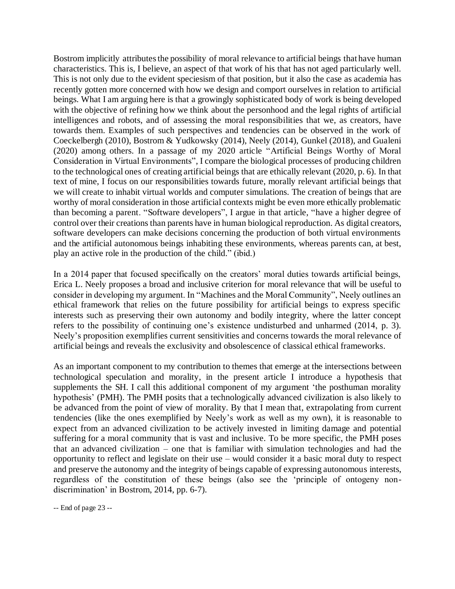Bostrom implicitly attributesthe possibility of moral relevance to artificial beings that have human characteristics. This is, I believe, an aspect of that work of his that has not aged particularly well. This is not only due to the evident speciesism of that position, but it also the case as academia has recently gotten more concerned with how we design and comport ourselves in relation to artificial beings. What I am arguing here is that a growingly sophisticated body of work is being developed with the objective of refining how we think about the personhood and the legal rights of artificial intelligences and robots, and of assessing the moral responsibilities that we, as creators, have towards them. Examples of such perspectives and tendencies can be observed in the work of Coeckelbergh (2010), Bostrom & Yudkowsky (2014), Neely (2014), Gunkel (2018), and Gualeni (2020) among others. In a passage of my 2020 article "Artificial Beings Worthy of Moral Consideration in Virtual Environments", I compare the biological processes of producing children to the technological ones of creating artificial beings that are ethically relevant (2020, p. 6). In that text of mine, I focus on our responsibilities towards future, morally relevant artificial beings that we will create to inhabit virtual worlds and computer simulations. The creation of beings that are worthy of moral consideration in those artificial contexts might be even more ethically problematic than becoming a parent. "Software developers", I argue in that article, "have a higher degree of control over their creations than parents have in human biological reproduction. As digital creators, software developers can make decisions concerning the production of both virtual environments and the artificial autonomous beings inhabiting these environments, whereas parents can, at best, play an active role in the production of the child." (ibid.)

In a 2014 paper that focused specifically on the creators' moral duties towards artificial beings, Erica L. Neely proposes a broad and inclusive criterion for moral relevance that will be useful to consider in developing my argument. In "Machines and the Moral Community", Neely outlines an ethical framework that relies on the future possibility for artificial beings to express specific interests such as preserving their own autonomy and bodily integrity, where the latter concept refers to the possibility of continuing one's existence undisturbed and unharmed (2014, p. 3). Neely's proposition exemplifies current sensitivities and concerns towards the moral relevance of artificial beings and reveals the exclusivity and obsolescence of classical ethical frameworks.

As an important component to my contribution to themes that emerge at the intersections between technological speculation and morality, in the present article I introduce a hypothesis that supplements the SH. I call this additional component of my argument 'the posthuman morality hypothesis' (PMH). The PMH posits that a technologically advanced civilization is also likely to be advanced from the point of view of morality. By that I mean that, extrapolating from current tendencies (like the ones exemplified by Neely's work as well as my own), it is reasonable to expect from an advanced civilization to be actively invested in limiting damage and potential suffering for a moral community that is vast and inclusive. To be more specific, the PMH poses that an advanced civilization – one that is familiar with simulation technologies and had the opportunity to reflect and legislate on their use – would consider it a basic moral duty to respect and preserve the autonomy and the integrity of beings capable of expressing autonomous interests, regardless of the constitution of these beings (also see the 'principle of ontogeny nondiscrimination' in Bostrom, 2014, pp. 6-7).

```
-- End of page 23 --
```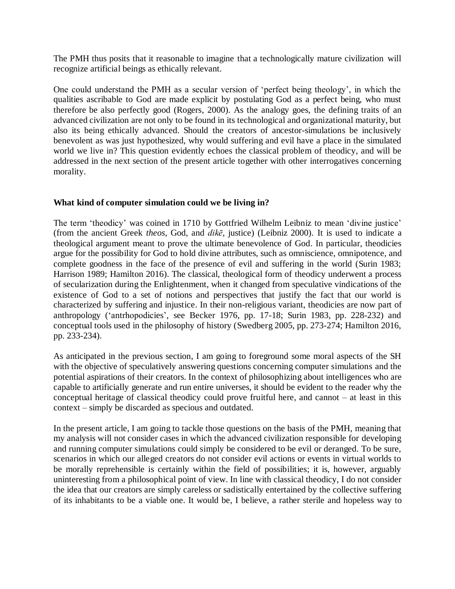The PMH thus posits that it reasonable to imagine that a technologically mature civilization will recognize artificial beings as ethically relevant.

One could understand the PMH as a secular version of 'perfect being theology', in which the qualities ascribable to God are made explicit by postulating God as a perfect being, who must therefore be also perfectly good (Rogers, 2000). As the analogy goes, the defining traits of an advanced civilization are not only to be found in its technological and organizational maturity, but also its being ethically advanced. Should the creators of ancestor-simulations be inclusively benevolent as was just hypothesized, why would suffering and evil have a place in the simulated world we live in? This question evidently echoes the classical problem of theodicy, and will be addressed in the next section of the present article together with other interrogatives concerning morality.

## **What kind of computer simulation could we be living in?**

The term 'theodicy' was coined in 1710 by Gottfried Wilhelm Leibniz to mean 'divine justice' (from the ancient Greek *theos*, God, and *dikē*, justice) (Leibniz 2000). It is used to indicate a theological argument meant to prove the ultimate benevolence of God. In particular, theodicies argue for the possibility for God to hold divine attributes, such as omniscience, omnipotence, and complete goodness in the face of the presence of evil and suffering in the world (Surin 1983; Harrison 1989; Hamilton 2016). The classical, theological form of theodicy underwent a process of secularization during the Enlightenment, when it changed from speculative vindications of the existence of God to a set of notions and perspectives that justify the fact that our world is characterized by suffering and injustice. In their non-religious variant, theodicies are now part of anthropology ('antrhopodicies', see Becker 1976, pp. 17-18; Surin 1983, pp. 228-232) and conceptual tools used in the philosophy of history (Swedberg 2005, pp. 273-274; Hamilton 2016, pp. 233-234).

As anticipated in the previous section, I am going to foreground some moral aspects of the SH with the objective of speculatively answering questions concerning computer simulations and the potential aspirations of their creators. In the context of philosophizing about intelligences who are capable to artificially generate and run entire universes, it should be evident to the reader why the conceptual heritage of classical theodicy could prove fruitful here, and cannot – at least in this context – simply be discarded as specious and outdated.

In the present article, I am going to tackle those questions on the basis of the PMH, meaning that my analysis will not consider cases in which the advanced civilization responsible for developing and running computer simulations could simply be considered to be evil or deranged. To be sure, scenarios in which our alleged creators do not consider evil actions or events in virtual worlds to be morally reprehensible is certainly within the field of possibilities; it is, however, arguably uninteresting from a philosophical point of view. In line with classical theodicy, I do not consider the idea that our creators are simply careless or sadistically entertained by the collective suffering of its inhabitants to be a viable one. It would be, I believe, a rather sterile and hopeless way to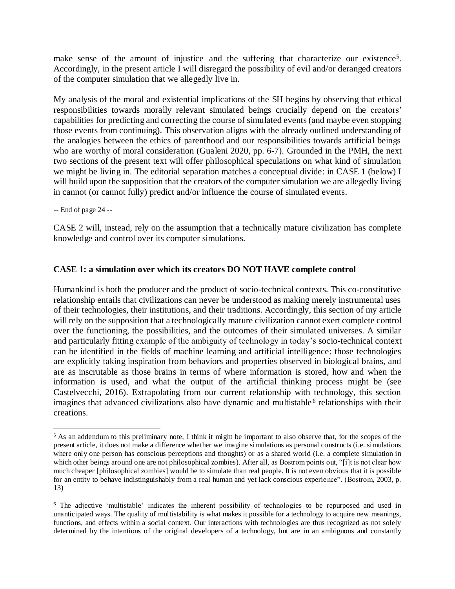make sense of the amount of injustice and the suffering that characterize our existence<sup>5</sup>. Accordingly, in the present article I will disregard the possibility of evil and/or deranged creators of the computer simulation that we allegedly live in.

My analysis of the moral and existential implications of the SH begins by observing that ethical responsibilities towards morally relevant simulated beings crucially depend on the creators' capabilities for predicting and correcting the course of simulated events (and maybe even stopping those events from continuing). This observation aligns with the already outlined understanding of the analogies between the ethics of parenthood and our responsibilities towards artificial beings who are worthy of moral consideration (Gualeni 2020, pp. 6-7). Grounded in the PMH, the next two sections of the present text will offer philosophical speculations on what kind of simulation we might be living in. The editorial separation matches a conceptual divide: in CASE 1 (below) I will build upon the supposition that the creators of the computer simulation we are allegedly living in cannot (or cannot fully) predict and/or influence the course of simulated events.

-- End of page 24 --

 $\overline{a}$ 

CASE 2 will, instead, rely on the assumption that a technically mature civilization has complete knowledge and control over its computer simulations.

# **CASE 1: a simulation over which its creators DO NOT HAVE complete control**

Humankind is both the producer and the product of socio-technical contexts. This co-constitutive relationship entails that civilizations can never be understood as making merely instrumental uses of their technologies, their institutions, and their traditions. Accordingly, this section of my article will rely on the supposition that a technologically mature civilization cannot exert complete control over the functioning, the possibilities, and the outcomes of their simulated universes. A similar and particularly fitting example of the ambiguity of technology in today's socio-technical context can be identified in the fields of machine learning and artificial intelligence: those technologies are explicitly taking inspiration from behaviors and properties observed in biological brains, and are as inscrutable as those brains in terms of where information is stored, how and when the information is used, and what the output of the artificial thinking process might be (see Castelvecchi, 2016). Extrapolating from our current relationship with technology, this section imagines that advanced civilizations also have dynamic and multistable<sup>6</sup> relationships with their creations.

<sup>5</sup> As an addendum to this preliminary note, I think it might be important to also observe that, for the scopes of the present article, it does not make a difference whether we imagine simulations as personal constructs (i.e. simulations where only one person has conscious perceptions and thoughts) or as a shared world (i.e. a complete simulation in which other beings around one are not philosophical zombies). After all, as Bostrom points out, "[i]t is not clear how much cheaper [philosophical zombies] would be to simulate than real people. It is not even obvious that it is possible for an entity to behave indistinguishably from a real human and yet lack conscious experience". (Bostrom, 2003, p. 13)

<sup>6</sup> The adjective 'multistable' indicates the inherent possibility of technologies to be repurposed and used in unanticipated ways. The quality of multistability is what makes it possible for a technology to acquire new meanings, functions, and effects within a social context. Our interactions with technologies are thus recognized as not solely determined by the intentions of the original developers of a technology, but are in an ambiguous and constantly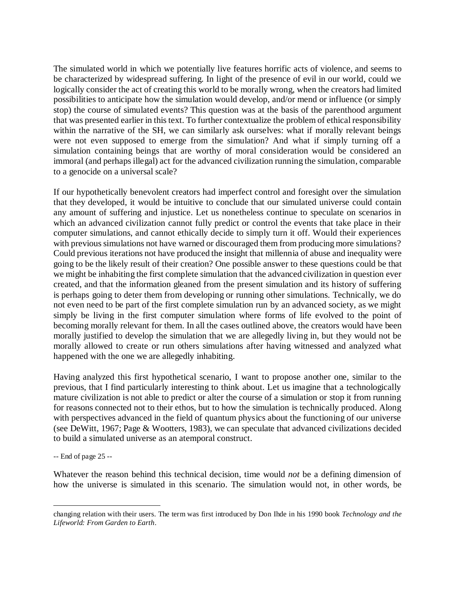The simulated world in which we potentially live features horrific acts of violence, and seems to be characterized by widespread suffering. In light of the presence of evil in our world, could we logically consider the act of creating this world to be morally wrong, when the creators had limited possibilities to anticipate how the simulation would develop, and/or mend or influence (or simply stop) the course of simulated events? This question was at the basis of the parenthood argument that was presented earlier in this text. To further contextualize the problem of ethical responsibility within the narrative of the SH, we can similarly ask ourselves: what if morally relevant beings were not even supposed to emerge from the simulation? And what if simply turning off a simulation containing beings that are worthy of moral consideration would be considered an immoral (and perhaps illegal) act for the advanced civilization running the simulation, comparable to a genocide on a universal scale?

If our hypothetically benevolent creators had imperfect control and foresight over the simulation that they developed, it would be intuitive to conclude that our simulated universe could contain any amount of suffering and injustice. Let us nonetheless continue to speculate on scenarios in which an advanced civilization cannot fully predict or control the events that take place in their computer simulations, and cannot ethically decide to simply turn it off. Would their experiences with previous simulations not have warned or discouraged them from producing more simulations? Could previous iterations not have produced the insight that millennia of abuse and inequality were going to be the likely result of their creation? One possible answer to these questions could be that we might be inhabiting the first complete simulation that the advanced civilization in question ever created, and that the information gleaned from the present simulation and its history of suffering is perhaps going to deter them from developing or running other simulations. Technically, we do not even need to be part of the first complete simulation run by an advanced society, as we might simply be living in the first computer simulation where forms of life evolved to the point of becoming morally relevant for them. In all the cases outlined above, the creators would have been morally justified to develop the simulation that we are allegedly living in, but they would not be morally allowed to create or run others simulations after having witnessed and analyzed what happened with the one we are allegedly inhabiting.

Having analyzed this first hypothetical scenario, I want to propose another one, similar to the previous, that I find particularly interesting to think about. Let us imagine that a technologically mature civilization is not able to predict or alter the course of a simulation or stop it from running for reasons connected not to their ethos, but to how the simulation is technically produced. Along with perspectives advanced in the field of quantum physics about the functioning of our universe (see DeWitt, 1967; Page & Wootters, 1983), we can speculate that advanced civilizations decided to build a simulated universe as an atemporal construct.

-- End of page 25 --

 $\overline{a}$ 

Whatever the reason behind this technical decision, time would *not* be a defining dimension of how the universe is simulated in this scenario. The simulation would not, in other words, be

changing relation with their users. The term was first introduced by Don Ihde in his 1990 book *Technology and the Lifeworld: From Garden to Earth*.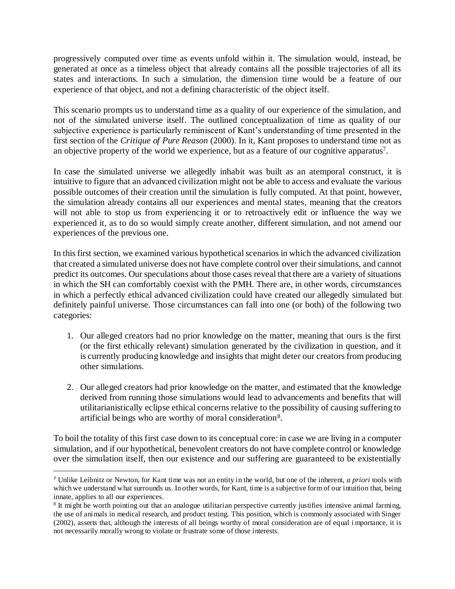progressively computed over time as events unfold within it. The simulation would, instead, be generated at once as a timeless object that already contains all the possible trajectories of all its states and interactions. In such a simulation, the dimension time would be a feature of our experience of that object, and not a defining characteristic of the object itself.

This scenario prompts us to understand time as a quality of our experience of the simulation, and not of the simulated universe itself. The outlined conceptualization of time as quality of our subjective experience is particularly reminiscent of Kant's understanding of time presented in the first section of the *Critique of Pure Reason* (2000). In it, Kant proposes to understand time not as an objective property of the world we experience, but as a feature of our cognitive apparatus<sup>7</sup>.

In case the simulated universe we allegedly inhabit was built as an atemporal construct, it is intuitive to figure that an advanced civilization might not be able to access and evaluate the various possible outcomes of their creation until the simulation is fully computed. At that point, however, the simulation already contains all our experiences and mental states, meaning that the creators will not able to stop us from experiencing it or to retroactively edit or influence the way we experienced it, as to do so would simply create another, different simulation, and not amend our experiences of the previous one.

In this first section, we examined various hypothetical scenarios in which the advanced civilization that created a simulated universe does not have complete control over their simulations, and cannot predict its outcomes. Our speculations about those cases reveal that there are a variety of situations in which the SH can comfortably coexist with the PMH. There are, in other words, circumstances in which a perfectly ethical advanced civilization could have created our allegedly simulated but definitely painful universe. Those circumstances can fall into one (or both) of the following two categories:

- 1. Our alleged creators had no prior knowledge on the matter, meaning that ours is the first (or the first ethically relevant) simulation generated by the civilization in question, and it is currently producing knowledge and insights that might deter our creators from producing other simulations.
- 2. Our alleged creators had prior knowledge on the matter, and estimated that the knowledge derived from running those simulations would lead to advancements and benefits that will utilitarianistically eclipse ethical concerns relative to the possibility of causing suffering to artificial beings who are worthy of moral consideration<sup>8</sup>.

To boil the totality of this first case down to its conceptual core: in case we are living in a computer simulation, and if our hypothetical, benevolent creators do not have complete control or knowledge over the simulation itself, then our existence and our suffering are guaranteed to be existentially

 $\overline{a}$ 

<sup>7</sup> Unlike Leibnitz or Newton, for Kant time was not an entity in the world, but one of the inherent, *a priori* tools with which we understand what surrounds us. In other words, for Kant, time is a subjective form of our intuition that, being innate, applies to all our experiences.

<sup>&</sup>lt;sup>8</sup> It might be worth pointing out that an analogue utilitarian perspective currently justifies intensive animal farming, the use of animals in medical research, and product testing. This position, which is commonly associated with Singer (2002), asserts that, although the interests of all beings worthy of moral consideration are of equal i mportance, it is not necessarily morally wrong to violate or frustrate some of those interests.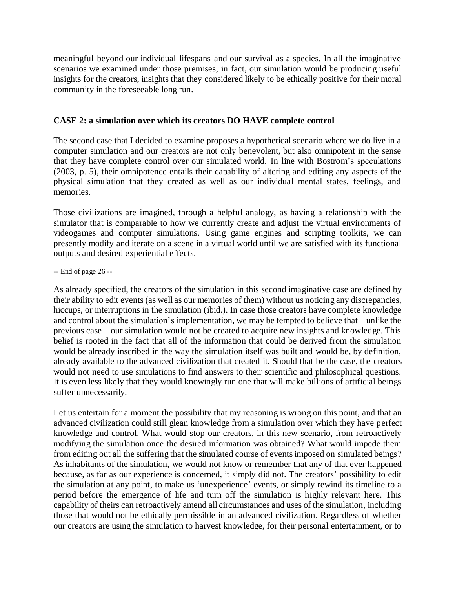meaningful beyond our individual lifespans and our survival as a species. In all the imaginative scenarios we examined under those premises, in fact, our simulation would be producing useful insights for the creators, insights that they considered likely to be ethically positive for their moral community in the foreseeable long run.

## **CASE 2: a simulation over which its creators DO HAVE complete control**

The second case that I decided to examine proposes a hypothetical scenario where we do live in a computer simulation and our creators are not only benevolent, but also omnipotent in the sense that they have complete control over our simulated world. In line with Bostrom's speculations (2003, p. 5), their omnipotence entails their capability of altering and editing any aspects of the physical simulation that they created as well as our individual mental states, feelings, and memories.

Those civilizations are imagined, through a helpful analogy, as having a relationship with the simulator that is comparable to how we currently create and adjust the virtual environments of videogames and computer simulations. Using game engines and scripting toolkits, we can presently modify and iterate on a scene in a virtual world until we are satisfied with its functional outputs and desired experiential effects.

-- End of page 26 --

As already specified, the creators of the simulation in this second imaginative case are defined by their ability to edit events (as well as our memories of them) without us noticing any discrepancies, hiccups, or interruptions in the simulation (ibid.). In case those creators have complete knowledge and control about the simulation's implementation, we may be tempted to believe that – unlike the previous case – our simulation would not be created to acquire new insights and knowledge. This belief is rooted in the fact that all of the information that could be derived from the simulation would be already inscribed in the way the simulation itself was built and would be, by definition, already available to the advanced civilization that created it. Should that be the case, the creators would not need to use simulations to find answers to their scientific and philosophical questions. It is even less likely that they would knowingly run one that will make billions of artificial beings suffer unnecessarily.

Let us entertain for a moment the possibility that my reasoning is wrong on this point, and that an advanced civilization could still glean knowledge from a simulation over which they have perfect knowledge and control. What would stop our creators, in this new scenario, from retroactively modifying the simulation once the desired information was obtained? What would impede them from editing out all the suffering that the simulated course of events imposed on simulated beings? As inhabitants of the simulation, we would not know or remember that any of that ever happened because, as far as our experience is concerned, it simply did not. The creators' possibility to edit the simulation at any point, to make us 'unexperience' events, or simply rewind its timeline to a period before the emergence of life and turn off the simulation is highly relevant here. This capability of theirs can retroactively amend all circumstances and uses of the simulation, including those that would not be ethically permissible in an advanced civilization. Regardless of whether our creators are using the simulation to harvest knowledge, for their personal entertainment, or to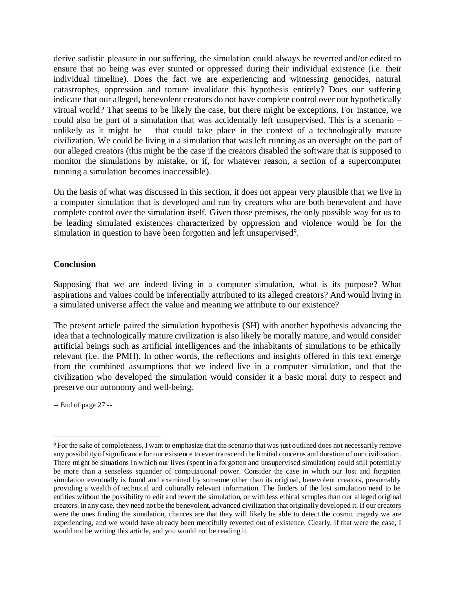derive sadistic pleasure in our suffering, the simulation could always be reverted and/or edited to ensure that no being was ever stunted or oppressed during their individual existence (i.e. their individual timeline). Does the fact we are experiencing and witnessing genocides, natural catastrophes, oppression and torture invalidate this hypothesis entirely? Does our suffering indicate that our alleged, benevolent creators do not have complete control over our hypothetically virtual world? That seems to be likely the case, but there might be exceptions. For instance, we could also be part of a simulation that was accidentally left unsupervised. This is a scenario – unlikely as it might be – that could take place in the context of a technologically mature civilization. We could be living in a simulation that was left running as an oversight on the part of our alleged creators (this might be the case if the creators disabled the software that is supposed to monitor the simulations by mistake, or if, for whatever reason, a section of a supercomputer running a simulation becomes inaccessible).

On the basis of what was discussed in this section, it does not appear very plausible that we live in a computer simulation that is developed and run by creators who are both benevolent and have complete control over the simulation itself. Given those premises, the only possible way for us to be leading simulated existences characterized by oppression and violence would be for the simulation in question to have been forgotten and left unsupervised<sup>9</sup>.

#### **Conclusion**

Supposing that we are indeed living in a computer simulation, what is its purpose? What aspirations and values could be inferentially attributed to its alleged creators? And would living in a simulated universe affect the value and meaning we attribute to our existence?

The present article paired the simulation hypothesis (SH) with another hypothesis advancing the idea that a technologically mature civilization is also likely be morally mature, and would consider artificial beings such as artificial intelligences and the inhabitants of simulations to be ethically relevant (i.e. the PMH). In other words, the reflections and insights offered in this text emerge from the combined assumptions that we indeed live in a computer simulation, and that the civilization who developed the simulation would consider it a basic moral duty to respect and preserve our autonomy and well-being.

-- End of page 27 --

 $\overline{a}$ 

<sup>9</sup>For the sake of completeness, I want to emphasize that the scenario that was just outlined does not necessarily remove any possibility of significance for our existence to ever transcend the limited concerns and duration of our civilization. There might be situations in which our lives (spent in a forgotten and unsupervised simulation) could still potentially be more than a senseless squander of computational power. Consider the case in which our lost and forgotten simulation eventually is found and examined by someone other than its original, benevolent creators, presumably providing a wealth of technical and culturally relevant information. The finders of the lost simulation need to be entities without the possibility to edit and revert the simulation, or with less ethical scruples than our alleged original creators. In any case, they need not be the benevolent, advanced civilization that originally developed it. If our creators were the ones finding the simulation, chances are that they will likely be able to detect the cosmic tragedy we are experiencing, and we would have already been mercifully reverted out of existence. Clearly, if that were the case, I would not be writing this article, and you would not be reading it.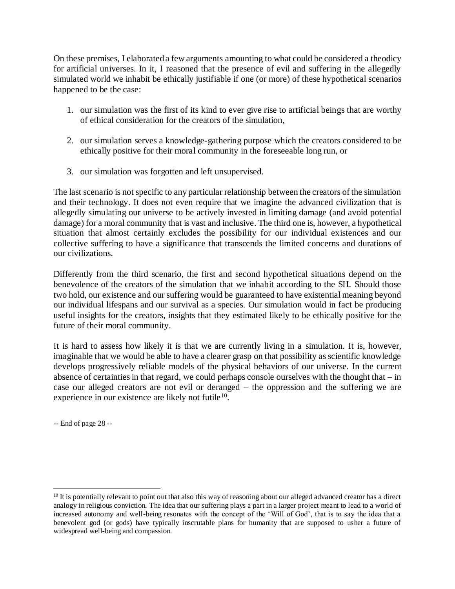On these premises, I elaborated a few arguments amounting to what could be considered a theodicy for artificial universes. In it, I reasoned that the presence of evil and suffering in the allegedly simulated world we inhabit be ethically justifiable if one (or more) of these hypothetical scenarios happened to be the case:

- 1. our simulation was the first of its kind to ever give rise to artificial beings that are worthy of ethical consideration for the creators of the simulation,
- 2. our simulation serves a knowledge-gathering purpose which the creators considered to be ethically positive for their moral community in the foreseeable long run, or
- 3. our simulation was forgotten and left unsupervised.

The last scenario is not specific to any particular relationship between the creators of the simulation and their technology. It does not even require that we imagine the advanced civilization that is allegedly simulating our universe to be actively invested in limiting damage (and avoid potential damage) for a moral community that is vast and inclusive. The third one is, however, a hypothetical situation that almost certainly excludes the possibility for our individual existences and our collective suffering to have a significance that transcends the limited concerns and durations of our civilizations.

Differently from the third scenario, the first and second hypothetical situations depend on the benevolence of the creators of the simulation that we inhabit according to the SH. Should those two hold, our existence and our suffering would be guaranteed to have existential meaning beyond our individual lifespans and our survival as a species. Our simulation would in fact be producing useful insights for the creators, insights that they estimated likely to be ethically positive for the future of their moral community.

It is hard to assess how likely it is that we are currently living in a simulation. It is, however, imaginable that we would be able to have a clearer grasp on that possibility as scientific knowledge develops progressively reliable models of the physical behaviors of our universe. In the current absence of certainties in that regard, we could perhaps console ourselves with the thought that  $-$  in case our alleged creators are not evil or deranged – the oppression and the suffering we are experience in our existence are likely not futile<sup>10</sup>.

-- End of page 28 --

 $\overline{a}$ 

<sup>&</sup>lt;sup>10</sup> It is potentially relevant to point out that also this way of reasoning about our alleged advanced creator has a direct analogy in religious conviction. The idea that our suffering plays a part in a larger project meant to lead to a world of increased autonomy and well-being resonates with the concept of the 'Will of God', that is to say the idea that a benevolent god (or gods) have typically inscrutable plans for humanity that are supposed to usher a future of widespread well-being and compassion.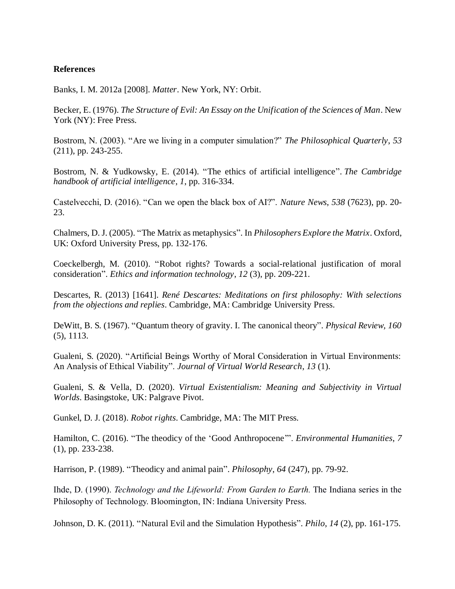#### **References**

Banks, I. M. 2012a [2008]. *Matter*. New York, NY: Orbit.

Becker, E. (1976). *The Structure of Evil: An Essay on the Unification of the Sciences of Man*. New York (NY): Free Press.

Bostrom, N. (2003). "Are we living in a computer simulation?" *The Philosophical Quarterly*, *53* (211), pp. 243-255.

Bostrom, N. & Yudkowsky, E. (2014). "The ethics of artificial intelligence". *The Cambridge handbook of artificial intelligence*, *1*, pp. 316-334.

Castelvecchi, D. (2016). "Can we open the black box of AI?". *Nature News*, *538* (7623), pp. 20- 23.

Chalmers, D. J. (2005). "The Matrix as metaphysics". In *Philosophers Explore the Matrix*. Oxford, UK: Oxford University Press, pp. 132-176.

Coeckelbergh, M. (2010). "Robot rights? Towards a social-relational justification of moral consideration". *Ethics and information technology*, *12* (3), pp. 209-221.

Descartes, R. (2013) [1641]. *René Descartes: Meditations on first philosophy: With selections from the objections and replies*. Cambridge, MA: Cambridge University Press.

DeWitt, B. S. (1967). "Quantum theory of gravity. I. The canonical theory". *Physical Review, 160* (5), 1113.

Gualeni, S. (2020). "Artificial Beings Worthy of Moral Consideration in Virtual Environments: An Analysis of Ethical Viability". *Journal of Virtual World Research*, *13* (1).

Gualeni, S. & Vella, D. (2020). *Virtual Existentialism: Meaning and Subjectivity in Virtual Worlds*. Basingstoke, UK: Palgrave Pivot.

Gunkel, D. J. (2018). *Robot rights*. Cambridge, MA: The MIT Press.

Hamilton, C. (2016). "The theodicy of the 'Good Anthropocene'". *Environmental Humanities*, *7* (1), pp. 233-238.

Harrison, P. (1989). "Theodicy and animal pain". *Philosophy*, *64* (247), pp. 79-92.

Ihde, D. (1990). *Technology and the Lifeworld: From Garden to Earth.* The Indiana series in the Philosophy of Technology. Bloomington, IN: Indiana University Press.

Johnson, D. K. (2011). "Natural Evil and the Simulation Hypothesis". *Philo*, *14* (2), pp. 161-175.